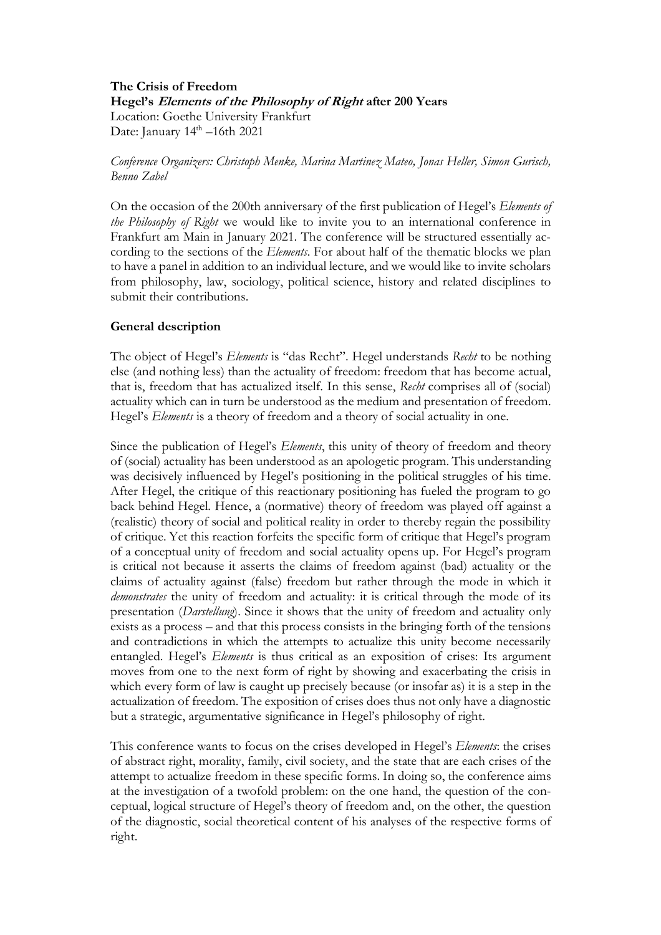# **The Crisis of Freedom Hegel's Elements of the Philosophy of Right after 200 Years** Location: Goethe University Frankfurt

Date: January  $14<sup>th</sup> - 16th$  2021

## *Conference Organizers: Christoph Menke, Marina Martinez Mateo, Jonas Heller, Simon Gurisch, Benno Zabel*

On the occasion of the 200th anniversary of the first publication of Hegel's *Elements of the Philosophy of Right* we would like to invite you to an international conference in Frankfurt am Main in January 2021. The conference will be structured essentially according to the sections of the *Elements*. For about half of the thematic blocks we plan to have a panel in addition to an individual lecture, and we would like to invite scholars from philosophy, law, sociology, political science, history and related disciplines to submit their contributions.

## **General description**

The object of Hegel's *Elements* is "das Recht". Hegel understands *Recht* to be nothing else (and nothing less) than the actuality of freedom: freedom that has become actual, that is, freedom that has actualized itself. In this sense, *Recht* comprises all of (social) actuality which can in turn be understood as the medium and presentation of freedom. Hegel's *Elements* is a theory of freedom and a theory of social actuality in one.

Since the publication of Hegel's *Elements*, this unity of theory of freedom and theory of (social) actuality has been understood as an apologetic program. This understanding was decisively influenced by Hegel's positioning in the political struggles of his time. After Hegel, the critique of this reactionary positioning has fueled the program to go back behind Hegel. Hence, a (normative) theory of freedom was played off against a (realistic) theory of social and political reality in order to thereby regain the possibility of critique. Yet this reaction forfeits the specific form of critique that Hegel's program of a conceptual unity of freedom and social actuality opens up. For Hegel's program is critical not because it asserts the claims of freedom against (bad) actuality or the claims of actuality against (false) freedom but rather through the mode in which it *demonstrates* the unity of freedom and actuality: it is critical through the mode of its presentation (*Darstellung*). Since it shows that the unity of freedom and actuality only exists as a process – and that this process consists in the bringing forth of the tensions and contradictions in which the attempts to actualize this unity become necessarily entangled. Hegel's *Elements* is thus critical as an exposition of crises: Its argument moves from one to the next form of right by showing and exacerbating the crisis in which every form of law is caught up precisely because (or insofar as) it is a step in the actualization of freedom. The exposition of crises does thus not only have a diagnostic but a strategic, argumentative significance in Hegel's philosophy of right.

This conference wants to focus on the crises developed in Hegel's *Elements*: the crises of abstract right, morality, family, civil society, and the state that are each crises of the attempt to actualize freedom in these specific forms. In doing so, the conference aims at the investigation of a twofold problem: on the one hand, the question of the conceptual, logical structure of Hegel's theory of freedom and, on the other, the question of the diagnostic, social theoretical content of his analyses of the respective forms of right.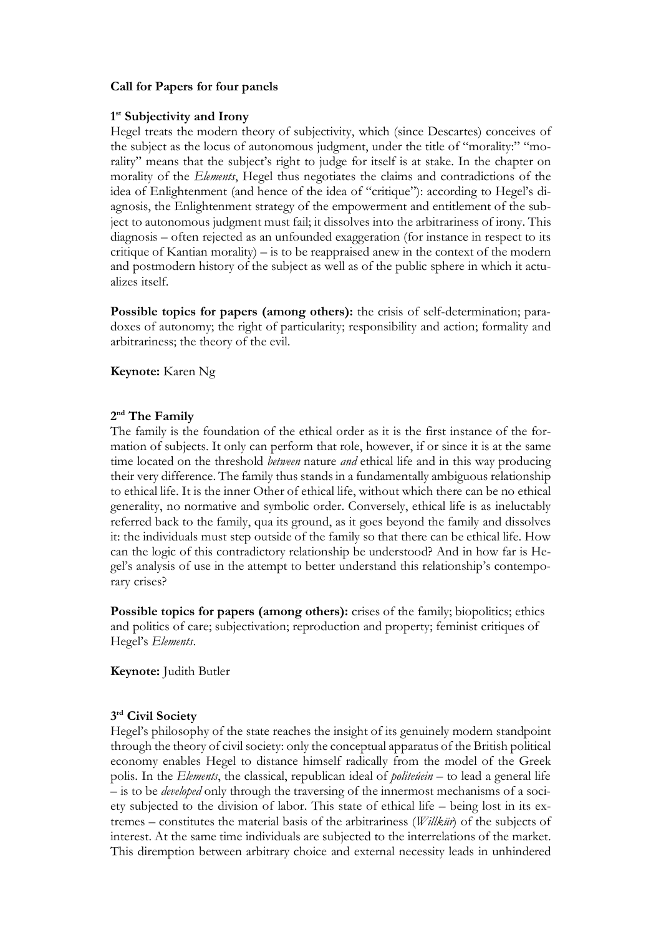## **Call for Papers for four panels**

#### **1st Subjectivity and Irony**

Hegel treats the modern theory of subjectivity, which (since Descartes) conceives of the subject as the locus of autonomous judgment, under the title of "morality:" "morality" means that the subject's right to judge for itself is at stake. In the chapter on morality of the *Elements*, Hegel thus negotiates the claims and contradictions of the idea of Enlightenment (and hence of the idea of "critique"): according to Hegel's diagnosis, the Enlightenment strategy of the empowerment and entitlement of the subject to autonomous judgment must fail; it dissolves into the arbitrariness of irony. This diagnosis – often rejected as an unfounded exaggeration (for instance in respect to its critique of Kantian morality) – is to be reappraised anew in the context of the modern and postmodern history of the subject as well as of the public sphere in which it actualizes itself.

**Possible topics for papers (among others):** the crisis of self-determination; paradoxes of autonomy; the right of particularity; responsibility and action; formality and arbitrariness; the theory of the evil.

**Keynote:** Karen Ng

## **2nd The Family**

The family is the foundation of the ethical order as it is the first instance of the formation of subjects. It only can perform that role, however, if or since it is at the same time located on the threshold *between* nature *and* ethical life and in this way producing their very difference. The family thus stands in a fundamentally ambiguous relationship to ethical life. It is the inner Other of ethical life, without which there can be no ethical generality, no normative and symbolic order. Conversely, ethical life is as ineluctably referred back to the family, qua its ground, as it goes beyond the family and dissolves it: the individuals must step outside of the family so that there can be ethical life. How can the logic of this contradictory relationship be understood? And in how far is Hegel's analysis of use in the attempt to better understand this relationship's contemporary crises?

**Possible topics for papers (among others):** crises of the family; biopolitics; ethics and politics of care; subjectivation; reproduction and property; feminist critiques of Hegel's *Elements*.

**Keynote:** Judith Butler

## **3rd Civil Society**

Hegel's philosophy of the state reaches the insight of its genuinely modern standpoint through the theory of civil society: only the conceptual apparatus of the British political economy enables Hegel to distance himself radically from the model of the Greek polis. In the *Elements*, the classical, republican ideal of *politeúein* – to lead a general life – is to be *developed* only through the traversing of the innermost mechanisms of a society subjected to the division of labor. This state of ethical life – being lost in its extremes – constitutes the material basis of the arbitrariness (*Willkür*) of the subjects of interest. At the same time individuals are subjected to the interrelations of the market. This diremption between arbitrary choice and external necessity leads in unhindered